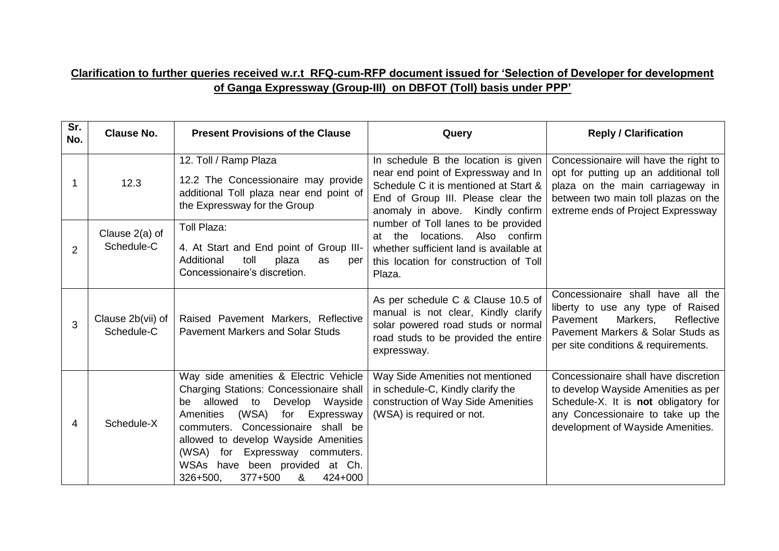## **Clarification to further queries received w.r.t RFQ-cum-RFP document issued for 'Selection of Developer for development of Ganga Expressway (Group-III) on DBFOT (Toll) basis under PPP'**

| Sr.<br>No.    | <b>Clause No.</b>               | <b>Present Provisions of the Clause</b>                                                                                                                                                                                                                                                                                                                               | Query                                                                                                                                                                                                                                                                                                                                                                          | <b>Reply / Clarification</b>                                                                                                                                                                    |
|---------------|---------------------------------|-----------------------------------------------------------------------------------------------------------------------------------------------------------------------------------------------------------------------------------------------------------------------------------------------------------------------------------------------------------------------|--------------------------------------------------------------------------------------------------------------------------------------------------------------------------------------------------------------------------------------------------------------------------------------------------------------------------------------------------------------------------------|-------------------------------------------------------------------------------------------------------------------------------------------------------------------------------------------------|
|               | 12.3                            | 12. Toll / Ramp Plaza<br>12.2 The Concessionaire may provide<br>additional Toll plaza near end point of<br>the Expressway for the Group                                                                                                                                                                                                                               | In schedule B the location is given<br>near end point of Expressway and In<br>Schedule C it is mentioned at Start &<br>End of Group III. Please clear the<br>anomaly in above. Kindly confirm<br>number of Toll lanes to be provided<br>Also confirm<br>the<br>locations.<br>at<br>whether sufficient land is available at<br>this location for construction of Toll<br>Plaza. | Concessionaire will have the right to<br>opt for putting up an additional toll<br>plaza on the main carriageway in<br>between two main toll plazas on the<br>extreme ends of Project Expressway |
| $\mathcal{P}$ | Clause 2(a) of<br>Schedule-C    | Toll Plaza:<br>4. At Start and End point of Group III-<br>Additional<br>toll<br>plaza<br>as<br>per<br>Concessionaire's discretion.                                                                                                                                                                                                                                    |                                                                                                                                                                                                                                                                                                                                                                                |                                                                                                                                                                                                 |
| 3             | Clause 2b(vii) of<br>Schedule-C | Raised Pavement Markers, Reflective<br><b>Pavement Markers and Solar Studs</b>                                                                                                                                                                                                                                                                                        | As per schedule C & Clause 10.5 of<br>manual is not clear, Kindly clarify<br>solar powered road studs or normal<br>road studs to be provided the entire<br>expressway.                                                                                                                                                                                                         | Concessionaire shall have all the<br>liberty to use any type of Raised<br>Pavement<br>Markers,<br>Reflective<br>Pavement Markers & Solar Studs as<br>per site conditions & requirements.        |
| 4             | Schedule-X                      | Way side amenities & Electric Vehicle<br>Charging Stations: Concessionaire shall<br>Develop Wayside<br>allowed to<br>be<br>(WSA)<br>Expressway<br>Amenities<br>for<br>Concessionaire shall be<br>commuters.<br>allowed to develop Wayside Amenities<br>Expressway commuters.<br>(WSA)<br>for<br>WSAs have been provided at Ch.<br>326+500.<br>377+500<br>&<br>424+000 | Way Side Amenities not mentioned<br>in schedule-C, Kindly clarify the<br>construction of Way Side Amenities<br>(WSA) is required or not.                                                                                                                                                                                                                                       | Concessionaire shall have discretion<br>to develop Wayside Amenities as per<br>Schedule-X. It is not obligatory for<br>any Concessionaire to take up the<br>development of Wayside Amenities.   |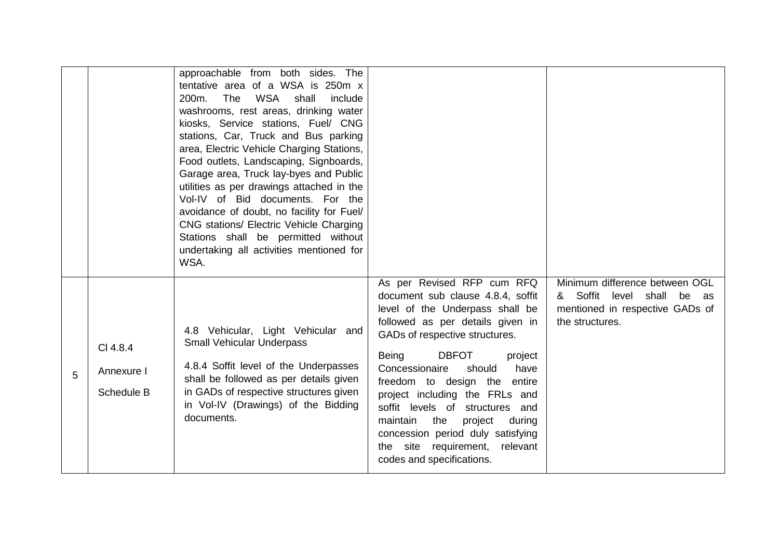|   |                                      | approachable from both sides. The<br>tentative area of a WSA is 250m x<br>WSA<br>The<br>shall<br>200m.<br>include<br>washrooms, rest areas, drinking water<br>kiosks, Service stations, Fuel/ CNG<br>stations, Car, Truck and Bus parking<br>area, Electric Vehicle Charging Stations,<br>Food outlets, Landscaping, Signboards,<br>Garage area, Truck lay-byes and Public<br>utilities as per drawings attached in the<br>Vol-IV of Bid documents. For the<br>avoidance of doubt, no facility for Fuel/<br>CNG stations/ Electric Vehicle Charging<br>Stations shall be permitted without<br>undertaking all activities mentioned for<br>WSA. |                                                                                                                                                                                                                                                                                                                                                                                                                                                                                                      |                                                                                                                             |
|---|--------------------------------------|------------------------------------------------------------------------------------------------------------------------------------------------------------------------------------------------------------------------------------------------------------------------------------------------------------------------------------------------------------------------------------------------------------------------------------------------------------------------------------------------------------------------------------------------------------------------------------------------------------------------------------------------|------------------------------------------------------------------------------------------------------------------------------------------------------------------------------------------------------------------------------------------------------------------------------------------------------------------------------------------------------------------------------------------------------------------------------------------------------------------------------------------------------|-----------------------------------------------------------------------------------------------------------------------------|
| 5 | CI 4.8.4<br>Annexure I<br>Schedule B | 4.8 Vehicular, Light Vehicular and<br><b>Small Vehicular Underpass</b><br>4.8.4 Soffit level of the Underpasses<br>shall be followed as per details given<br>in GADs of respective structures given<br>in Vol-IV (Drawings) of the Bidding<br>documents.                                                                                                                                                                                                                                                                                                                                                                                       | As per Revised RFP cum RFQ<br>document sub clause 4.8.4, soffit<br>level of the Underpass shall be<br>followed as per details given in<br>GADs of respective structures.<br><b>DBFOT</b><br>Being<br>project<br>have<br>Concessionaire<br>should<br>freedom to design the entire<br>project including the FRLs and<br>soffit levels of structures and<br>the<br>maintain<br>project<br>during<br>concession period duly satisfying<br>the site requirement,<br>relevant<br>codes and specifications. | Minimum difference between OGL<br>& Soffit<br>level<br>shall<br>be as<br>mentioned in respective GADs of<br>the structures. |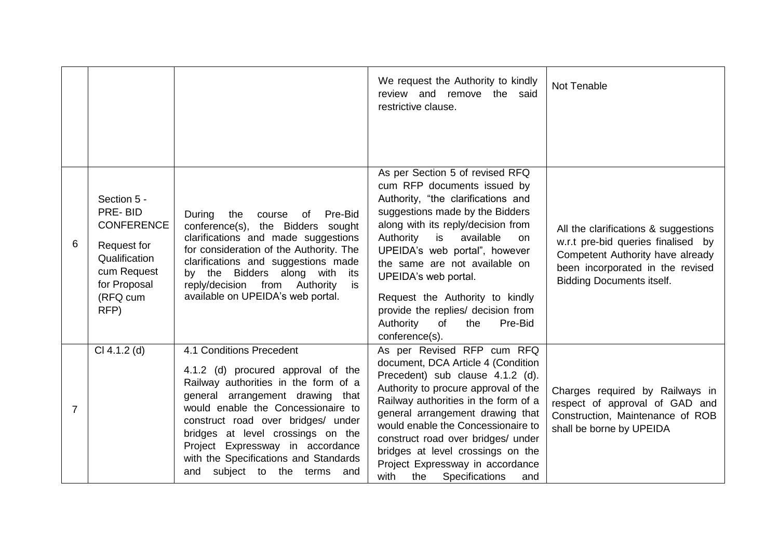|                |                                                                                                                                |                                                                                                                                                                                                                                                                                                                                                                          | We request the Authority to kindly<br>review and remove the said<br>restrictive clause.                                                                                                                                                                                                                                                                                                                                                    | Not Tenable                                                                                                                                                                            |
|----------------|--------------------------------------------------------------------------------------------------------------------------------|--------------------------------------------------------------------------------------------------------------------------------------------------------------------------------------------------------------------------------------------------------------------------------------------------------------------------------------------------------------------------|--------------------------------------------------------------------------------------------------------------------------------------------------------------------------------------------------------------------------------------------------------------------------------------------------------------------------------------------------------------------------------------------------------------------------------------------|----------------------------------------------------------------------------------------------------------------------------------------------------------------------------------------|
| 6              | Section 5 -<br>PRE-BID<br><b>CONFERENCE</b><br>Request for<br>Qualification<br>cum Request<br>for Proposal<br>(RFQ cum<br>RFP) | the<br>During<br>Pre-Bid<br>course of<br>conference(s), the Bidders sought<br>clarifications and made suggestions<br>for consideration of the Authority. The<br>clarifications and suggestions made<br>by the Bidders along with<br>its<br>reply/decision from Authority<br>is<br>available on UPEIDA's web portal.                                                      | As per Section 5 of revised RFQ<br>cum RFP documents issued by<br>Authority, "the clarifications and<br>suggestions made by the Bidders<br>along with its reply/decision from<br>Authority is<br>available<br>on<br>UPEIDA's web portal", however<br>the same are not available on<br>UPEIDA's web portal.<br>Request the Authority to kindly<br>provide the replies/ decision from<br>Authority<br>Pre-Bid<br>of<br>the<br>conference(s). | All the clarifications & suggestions<br>w.r.t pre-bid queries finalised by<br>Competent Authority have already<br>been incorporated in the revised<br><b>Bidding Documents itself.</b> |
| $\overline{7}$ | $Cl 4.1.2$ (d)                                                                                                                 | 4.1 Conditions Precedent<br>4.1.2 (d) procured approval of the<br>Railway authorities in the form of a<br>general arrangement drawing that<br>would enable the Concessionaire to<br>construct road over bridges/ under<br>bridges at level crossings on the<br>Project Expressway in accordance<br>with the Specifications and Standards<br>and subject to the terms and | As per Revised RFP cum RFQ<br>document, DCA Article 4 (Condition<br>Precedent) sub clause 4.1.2 (d).<br>Authority to procure approval of the<br>Railway authorities in the form of a<br>general arrangement drawing that<br>would enable the Concessionaire to<br>construct road over bridges/ under<br>bridges at level crossings on the<br>Project Expressway in accordance<br>with<br>the<br><b>Specifications</b><br>and               | Charges required by Railways in<br>respect of approval of GAD and<br>Construction, Maintenance of ROB<br>shall be borne by UPEIDA                                                      |